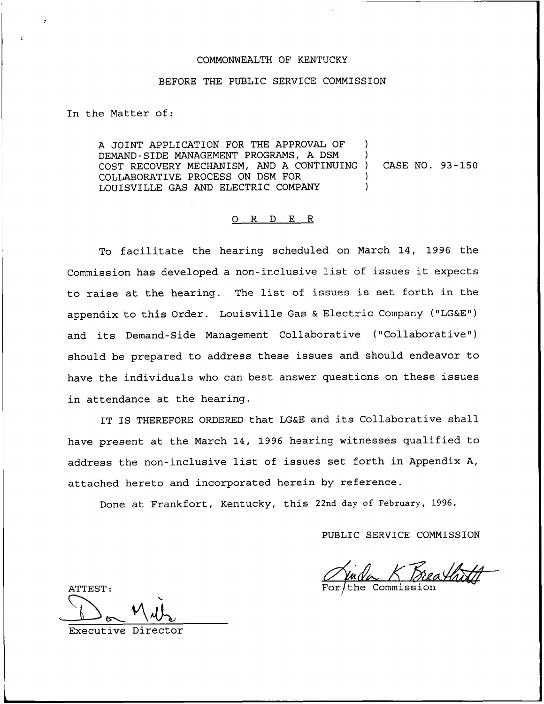# COMMONWEALTH OF KENTUCKY

### BEFORE THE PUBLIC SERVICE COMMISSION

In the Matter of:

A JOINT APPLICATION FOR THE APPROVAL OF DEMAND-SIDE MANAGEMENT PROGRAMS, A DSM ) COST RECOVERY MECHANISM, AND <sup>A</sup> CONTINUING ) CASE NO. 93-150 COLLABORATIVE PROCESS ON DSM FOR ) LOUISVILLE GAS AND ELECTRIC COMPANY

### 0 R <sup>D</sup> E R

To facilitate the hearing scheduled on March 14, 1996 the Commission has developed <sup>a</sup> non-inclusive list of issues it expects to raise at the hearing. The list of issues is set forth in the appendix to this Order. Louisville Gas & Electric Company ("LG&E") and its Demand-Side Management Collaborative ("Collaborative" ) should be prepared to address these issues and should endeavor to have the individuals who can best answer questions on these issues in attendance at the hearing.

IT IS THEREFORE ORDERED that LG&E and its Collaborative shall have present at the March 14, 1996 hearing witnesses qualified to address the non-inclusive list of issues set forth in Appendix A, attached hereto and incorporated herein by reference.

Done at Frankfort, Kentucky, this 22nd day of February, 1996.

PUBLIC SERVICE COMMISSION

the Commission

ATTEST:

Executive Director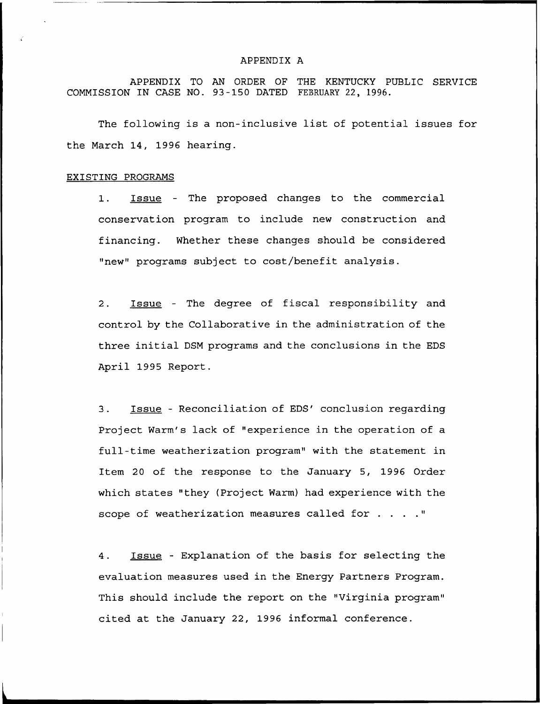### APPENDIX A

APPENDIX TO AN ORDER OF THE KENTUCKY PUBLIC SERVICE COMMISSION IN CASE NO. 93 —150 DATED FEBRUARY 22, 1996.

The following is a non-inclusive list of potential issues for the March 14, 1996 hearing.

#### EXISTING PROGRAMS

1. Issue - The proposed changes to the commercial conservation program to include new construction and financing. Whether these changes should be considered "new" programs subject to cost/benefit analysis.

2. Issue - The degree of fiscal responsibility and control by the Collaborative in the administration of the three initial DSM programs and the conclusions in the EDS April 1995 Report.

3. Issue - Reconciliation of EDS' conclusion regarding Project Warm's lack of "experience in the operation of a full-time weatherization program" with the statement in Item 20 of the response to the January 5, 1996 Order which states "they (Project Warm) had experience with the scope of weatherization measures called for . . . . "

4. Issue - Explanation of the basis for selecting the evaluation measures used in the Energy Partners Program. This should include the report on the "Virginia program" cited at the January 22, 1996 informal conference.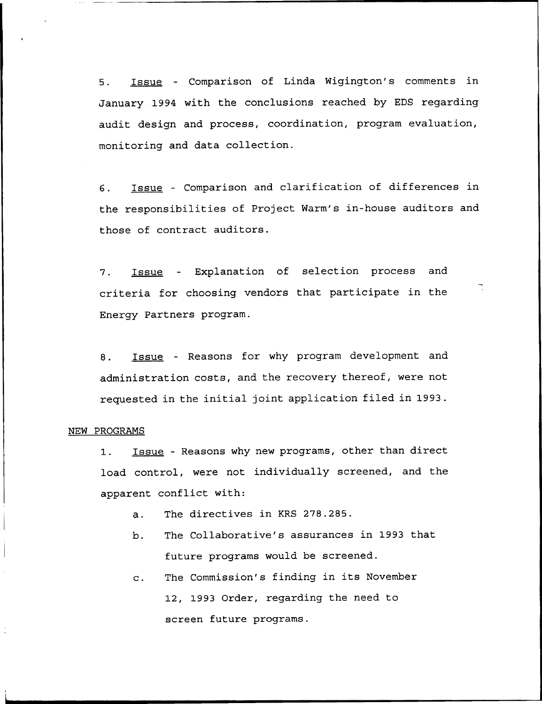5. Issue — Comparison of Linda Wigington's comments in January 1994 with the conclusions reached by EDS regarding audit design and process, coordination, program evaluation, monitoring and data collection.

Issue — Comparison and clarification of differences in 6. the responsibilities of Project Warm's in-house auditors and those of contract auditors.

Issue — Explanation of selection process and 7. criteria for choosing vendors that participate in the Energy Partners program.

8. Issue - Reasons for why program development and administration costs, and the recovery thereof, were not requested in the initial joint application filed in 1993.

# NEW PROGRAMS

1. Issue - Reasons why new programs, other than direct load control, were not individually screened, and the apparent conflict with:

- a. The directives in KRS 278.285.
- b. The Collaborative's assurances in 1993 that future programs would be screened.
- The Commission's finding in its November  $\mathbf{c}$ . 12, 1993 Order, regarding the need to screen future programs.